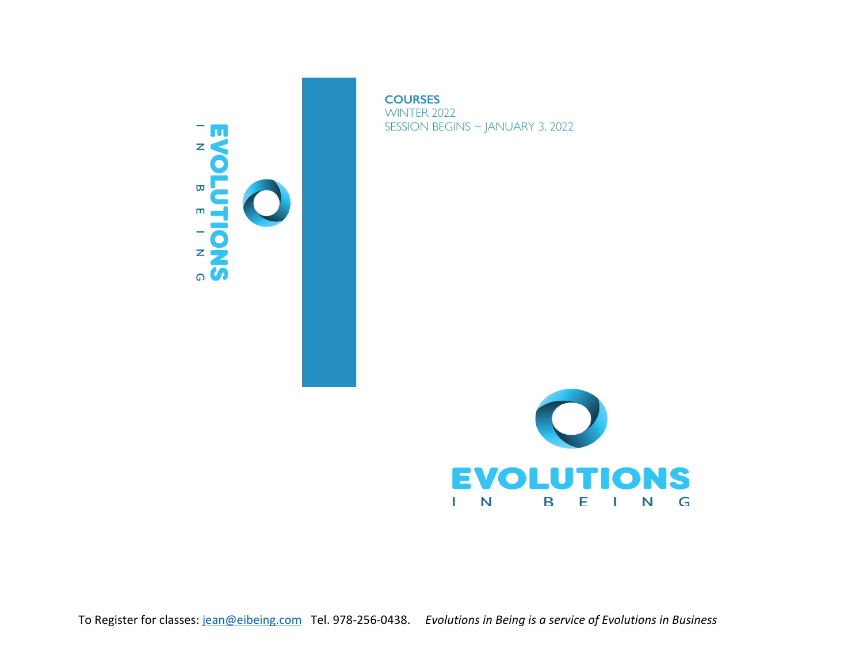

**COURSES** WINTER 2022 SESSION BEGINS ~ JANUARY 3, 2022



To Register for classes: jean@eibeing.com Tel. 978-256-0438. *Evolutions in Being is a service of Evolutions in Business*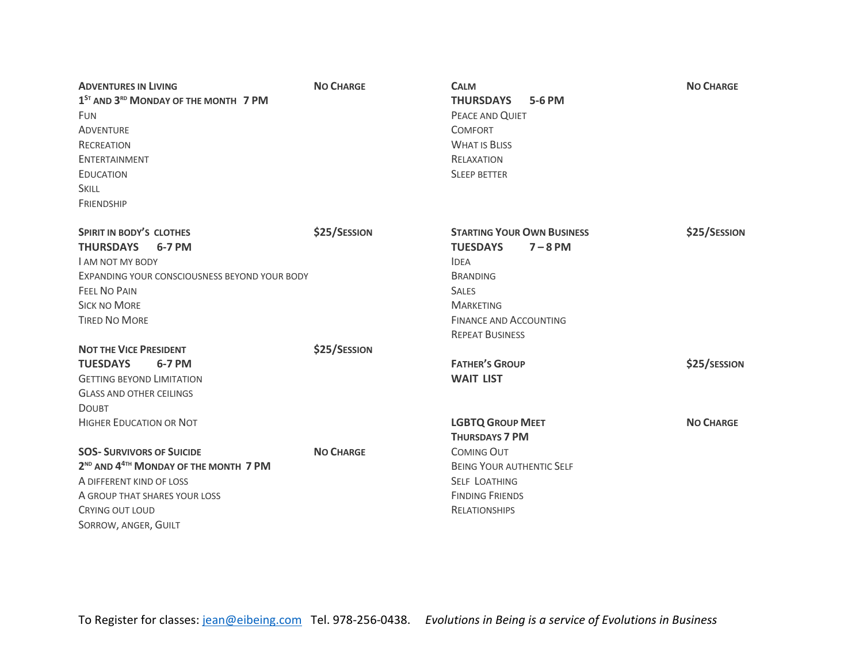| <b>ADVENTURES IN LIVING</b>                                                                                                                       | <b>NO CHARGE</b> | <b>CALM</b>                                                                                                                         | <b>NO CHARGE</b> |
|---------------------------------------------------------------------------------------------------------------------------------------------------|------------------|-------------------------------------------------------------------------------------------------------------------------------------|------------------|
| 1 <sup>ST</sup> AND 3 <sup>RD</sup> MONDAY OF THE MONTH 7 PM<br>FUN<br><b>ADVENTURE</b><br><b>RECREATION</b><br>ENTERTAINMENT<br><b>EDUCATION</b> |                  | 5-6 PM<br><b>THURSDAYS</b><br>PEACE AND QUIET<br><b>COMFORT</b><br><b>WHAT IS BLISS</b><br><b>RELAXATION</b><br><b>SLEEP BETTER</b> |                  |
|                                                                                                                                                   |                  |                                                                                                                                     |                  |
|                                                                                                                                                   |                  |                                                                                                                                     |                  |
|                                                                                                                                                   |                  |                                                                                                                                     |                  |
|                                                                                                                                                   |                  |                                                                                                                                     |                  |
|                                                                                                                                                   |                  |                                                                                                                                     | <b>SKILL</b>     |
| <b>FRIENDSHIP</b>                                                                                                                                 |                  |                                                                                                                                     |                  |
| <b>SPIRIT IN BODY'S CLOTHES</b>                                                                                                                   | \$25/SESSION     | <b>STARTING YOUR OWN BUSINESS</b>                                                                                                   | \$25/SESSION     |
| <b>THURSDAYS</b><br>6-7 PM<br><b>LAM NOT MY BODY</b>                                                                                              |                  | $7 - 8$ PM<br><b>TUESDAYS</b><br><b>IDEA</b>                                                                                        |                  |
|                                                                                                                                                   |                  |                                                                                                                                     |                  |
| <b>FEEL NO PAIN</b><br><b>SICK NO MORE</b>                                                                                                        |                  | <b>SALES</b><br><b>MARKETING</b>                                                                                                    |                  |
|                                                                                                                                                   |                  |                                                                                                                                     |                  |
|                                                                                                                                                   |                  | <b>REPEAT BUSINESS</b>                                                                                                              |                  |
| <b>NOT THE VICE PRESIDENT</b>                                                                                                                     | \$25/SESSION     |                                                                                                                                     |                  |
| <b>TUESDAYS</b><br>6-7 PM                                                                                                                         |                  | <b>FATHER'S GROUP</b>                                                                                                               | \$25/SESSION     |
| <b>GETTING BEYOND LIMITATION</b>                                                                                                                  |                  | <b>WAIT LIST</b>                                                                                                                    |                  |
| <b>GLASS AND OTHER CEILINGS</b>                                                                                                                   |                  |                                                                                                                                     |                  |
| <b>DOUBT</b>                                                                                                                                      |                  |                                                                                                                                     |                  |
| <b>HIGHER EDUCATION OR NOT</b>                                                                                                                    |                  | <b>LGBTQ GROUP MEET</b>                                                                                                             | <b>NO CHARGE</b> |
|                                                                                                                                                   |                  | <b>THURSDAYS 7 PM</b>                                                                                                               |                  |
| <b>SOS- SURVIVORS OF SUICIDE</b>                                                                                                                  | <b>NO CHARGE</b> | <b>COMING OUT</b>                                                                                                                   |                  |
| 2 <sup>ND</sup> AND 4 <sup>4TH</sup> MONDAY OF THE MONTH 7 PM                                                                                     |                  | <b>BEING YOUR AUTHENTIC SELF</b>                                                                                                    |                  |
| A DIFFERENT KIND OF LOSS                                                                                                                          |                  | <b>SELF LOATHING</b>                                                                                                                |                  |
| A GROUP THAT SHARES YOUR LOSS                                                                                                                     |                  | <b>FINDING FRIENDS</b>                                                                                                              |                  |
| CRYING OUT LOUD                                                                                                                                   |                  | <b>RELATIONSHIPS</b>                                                                                                                |                  |
| SORROW, ANGER, GUILT                                                                                                                              |                  |                                                                                                                                     |                  |